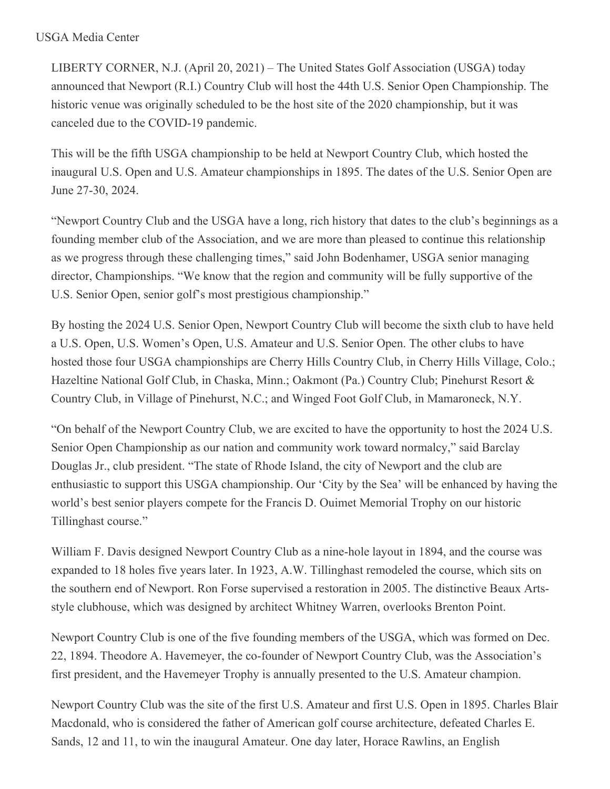## USGA Media Center

LIBERTY CORNER, N.J. (April 20, 2021) – The United States Golf Association (USGA) today announced that Newport (R.I.) Country Club will host the 44th U.S. Senior Open Championship. The historic venue was originally scheduled to be the host site of the 2020 championship, but it was canceled due to the COVID-19 pandemic.

This will be the fifth USGA championship to be held at Newport Country Club, which hosted the inaugural U.S. Open and U.S. Amateur championships in 1895. The dates of the U.S. Senior Open are June 27-30, 2024.

"Newport Country Club and the USGA have a long, rich history that dates to the club's beginnings as a founding member club of the Association, and we are more than pleased to continue this relationship as we progress through these challenging times," said John Bodenhamer, USGA senior managing director, Championships. "We know that the region and community will be fully supportive of the U.S. Senior Open, senior golf's most prestigious championship."

By hosting the 2024 U.S. Senior Open, Newport Country Club will become the sixth club to have held a U.S. Open, U.S. Women's Open, U.S. Amateur and U.S. Senior Open. The other clubs to have hosted those four USGA championships are Cherry Hills Country Club, in Cherry Hills Village, Colo.; Hazeltine National Golf Club, in Chaska, Minn.; Oakmont (Pa.) Country Club; Pinehurst Resort & Country Club, in Village of Pinehurst, N.C.; and Winged Foot Golf Club, in Mamaroneck, N.Y.

"On behalf of the Newport Country Club, we are excited to have the opportunity to host the 2024 U.S. Senior Open Championship as our nation and community work toward normalcy," said Barclay Douglas Jr., club president. "The state of Rhode Island, the city of Newport and the club are enthusiastic to support this USGA championship. Our 'City by the Sea' will be enhanced by having the world's best senior players compete for the Francis D. Ouimet Memorial Trophy on our historic Tillinghast course."

William F. Davis designed Newport Country Club as a nine-hole layout in 1894, and the course was expanded to 18 holes five years later. In 1923, A.W. Tillinghast remodeled the course, which sits on the southern end of Newport. Ron Forse supervised a restoration in 2005. The distinctive Beaux Artsstyle clubhouse, which was designed by architect Whitney Warren, overlooks Brenton Point.

Newport Country Club is one of the five founding members of the USGA, which was formed on Dec. 22, 1894. Theodore A. Havemeyer, the co-founder of Newport Country Club, was the Association's first president, and the Havemeyer Trophy is annually presented to the U.S. Amateur champion.

Newport Country Club was the site of the first U.S. Amateur and first U.S. Open in 1895. Charles Blair Macdonald, who is considered the father of American golf course architecture, defeated Charles E. Sands, 12 and 11, to win the inaugural Amateur. One day later, Horace Rawlins, an English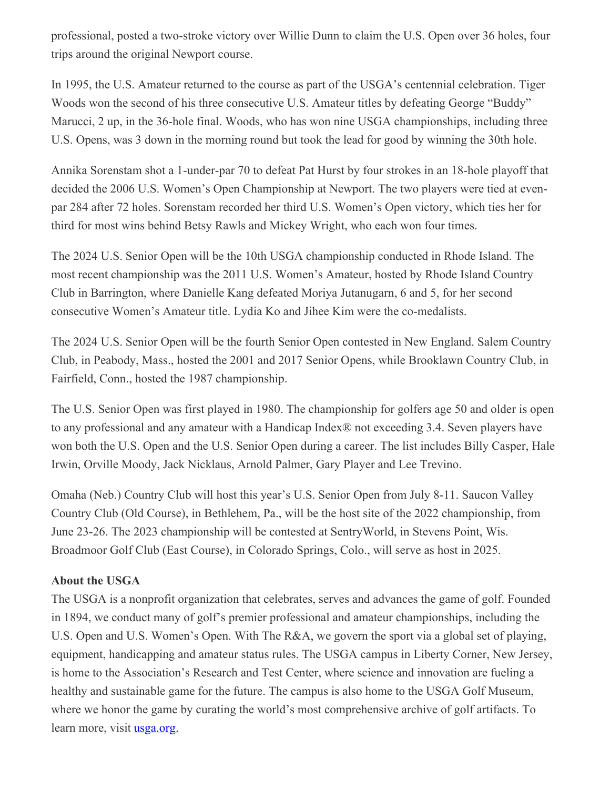professional, posted a two-stroke victory over Willie Dunn to claim the U.S. Open over 36 holes, four trips around the original Newport course.

In 1995, the U.S. Amateur returned to the course as part of the USGA's centennial celebration. Tiger Woods won the second of his three consecutive U.S. Amateur titles by defeating George "Buddy" Marucci, 2 up, in the 36-hole final. Woods, who has won nine USGA championships, including three U.S. Opens, was 3 down in the morning round but took the lead for good by winning the 30th hole.

Annika Sorenstam shot a 1-under-par 70 to defeat Pat Hurst by four strokes in an 18-hole playoff that decided the 2006 U.S. Women's Open Championship at Newport. The two players were tied at evenpar 284 after 72 holes. Sorenstam recorded her third U.S. Women's Open victory, which ties her for third for most wins behind Betsy Rawls and Mickey Wright, who each won four times.

The 2024 U.S. Senior Open will be the 10th USGA championship conducted in Rhode Island. The most recent championship was the 2011 U.S. Women's Amateur, hosted by Rhode Island Country Club in Barrington, where Danielle Kang defeated Moriya Jutanugarn, 6 and 5, for her second consecutive Women's Amateur title. Lydia Ko and Jihee Kim were the co-medalists.

The 2024 U.S. Senior Open will be the fourth Senior Open contested in New England. Salem Country Club, in Peabody, Mass., hosted the 2001 and 2017 Senior Opens, while Brooklawn Country Club, in Fairfield, Conn., hosted the 1987 championship.

The U.S. Senior Open was first played in 1980. The championship for golfers age 50 and older is open to any professional and any amateur with a Handicap Index® not exceeding 3.4. Seven players have won both the U.S. Open and the U.S. Senior Open during a career. The list includes Billy Casper, Hale Irwin, Orville Moody, Jack Nicklaus, Arnold Palmer, Gary Player and Lee Trevino.

Omaha (Neb.) Country Club will host this year's U.S. Senior Open from July 8-11. Saucon Valley Country Club (Old Course), in Bethlehem, Pa., will be the host site of the 2022 championship, from June 23-26. The 2023 championship will be contested at SentryWorld, in Stevens Point, Wis. Broadmoor Golf Club (East Course), in Colorado Springs, Colo., will serve as host in 2025.

## **About the USGA**

The USGA is a nonprofit organization that celebrates, serves and advances the game of golf. Founded in 1894, we conduct many of golf's premier professional and amateur championships, including the U.S. Open and U.S. Women's Open. With The R&A, we govern the sport via a global set of playing, equipment, handicapping and amateur status rules. The USGA campus in Liberty Corner, New Jersey, is home to the Association's Research and Test Center, where science and innovation are fueling a healthy and sustainable game for the future. The campus is also home to the USGA Golf Museum, where we honor the game by curating the world's most comprehensive archive of golf artifacts. To learn more, visit <u>[usga.org.](https://nam12.safelinks.protection.outlook.com/?url=http%3A%2F%2Fwww.usga.org%2F&data=04%7C01%7CJGeske%40USGA.org%7C29a7fbdfeda140fadd0e08d90408ccd3%7C17abf7083a064391bdbd06808d1b9f81%7C0%7C0%7C637545258121868762%7CUnknown%7CTWFpbGZsb3d8eyJWIjoiMC4wLjAwMDAiLCJQIjoiV2luMzIiLCJBTiI6Ik1haWwiLCJXVCI6Mn0%3D%7C1000&sdata=eNib7LYzVORnyvfPfA0nbeUgxTfQ0IR1K1pH8WkoczI%3D&reserved=0)</u>